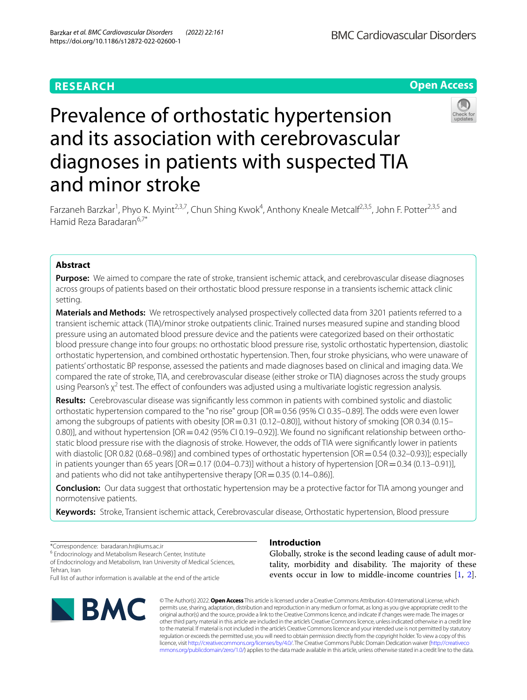# **RESEARCH**

**Open Access**

**BMC Cardiovascular Disorders** 

# Prevalence of orthostatic hypertension and its association with cerebrovascular diagnoses in patients with suspected TIA and minor stroke



Farzaneh Barzkar<sup>1</sup>, Phyo K. Myint<sup>2,3,7</sup>, Chun Shing Kwok<sup>4</sup>, Anthony Kneale Metcalf<sup>2,3,5</sup>, John F. Potter<sup>2,3,5</sup> and Hamid Reza Baradaran<sup>6,7\*</sup>

## **Abstract**

**Purpose:** We aimed to compare the rate of stroke, transient ischemic attack, and cerebrovascular disease diagnoses across groups of patients based on their orthostatic blood pressure response in a transients ischemic attack clinic setting.

**Materials and Methods:** We retrospectively analysed prospectively collected data from 3201 patients referred to a transient ischemic attack (TIA)/minor stroke outpatients clinic. Trained nurses measured supine and standing blood pressure using an automated blood pressure device and the patients were categorized based on their orthostatic blood pressure change into four groups: no orthostatic blood pressure rise, systolic orthostatic hypertension, diastolic orthostatic hypertension, and combined orthostatic hypertension. Then, four stroke physicians, who were unaware of patients' orthostatic BP response, assessed the patients and made diagnoses based on clinical and imaging data. We compared the rate of stroke, TIA, and cerebrovascular disease (either stroke or TIA) diagnoses across the study groups using Pearson's  $\chi^2$  test. The effect of confounders was adjusted using a multivariate logistic regression analysis.

**Results:** Cerebrovascular disease was signifcantly less common in patients with combined systolic and diastolic orthostatic hypertension compared to the "no rise" group [OR=0.56 (95% CI 0.35–0.89]. The odds were even lower among the subgroups of patients with obesity  $[OR = 0.31 (0.12-0.80)]$ , without history of smoking  $[OR 0.34 (0.15-0.1200)]$ 0.80)], and without hypertension [OR = 0.42 (95% CI 0.19–0.92)]. We found no significant relationship between orthostatic blood pressure rise with the diagnosis of stroke. However, the odds of TIA were signifcantly lower in patients with diastolic [OR 0.82 (0.68–0.98)] and combined types of orthostatic hypertension [OR = 0.54 (0.32–0.93)]; especially in patients younger than 65 years  $[OR=0.17 (0.04-0.73)]$  without a history of hypertension  $[OR=0.34 (0.13-0.91)]$ , and patients who did not take antihypertensive therapy  $[OR = 0.35 (0.14-0.86)]$ .

**Conclusion:** Our data suggest that orthostatic hypertension may be a protective factor for TIA among younger and normotensive patients.

**Keywords:** Stroke, Transient ischemic attack, Cerebrovascular disease, Orthostatic hypertension, Blood pressure

\*Correspondence: baradaran.hr@iums.ac.ir

<sup>6</sup> Endocrinology and Metabolism Research Center, Institute

of Endocrinology and Metabolism, Iran University of Medical Sciences, Tehran, Iran

Full list of author information is available at the end of the article



## **Introduction**

Globally, stroke is the second leading cause of adult mortality, morbidity and disability. The majority of these events occur in low to middle-income countries [\[1,](#page-7-0) [2](#page-7-1)].

© The Author(s) 2022. **Open Access** This article is licensed under a Creative Commons Attribution 4.0 International License, which permits use, sharing, adaptation, distribution and reproduction in any medium or format, as long as you give appropriate credit to the original author(s) and the source, provide a link to the Creative Commons licence, and indicate if changes were made. The images or other third party material in this article are included in the article's Creative Commons licence, unless indicated otherwise in a credit line to the material. If material is not included in the article's Creative Commons licence and your intended use is not permitted by statutory regulation or exceeds the permitted use, you will need to obtain permission directly from the copyright holder. To view a copy of this licence, visit [http://creativecommons.org/licenses/by/4.0/.](http://creativecommons.org/licenses/by/4.0/) The Creative Commons Public Domain Dedication waiver ([http://creativeco](http://creativecommons.org/publicdomain/zero/1.0/) [mmons.org/publicdomain/zero/1.0/](http://creativecommons.org/publicdomain/zero/1.0/)) applies to the data made available in this article, unless otherwise stated in a credit line to the data.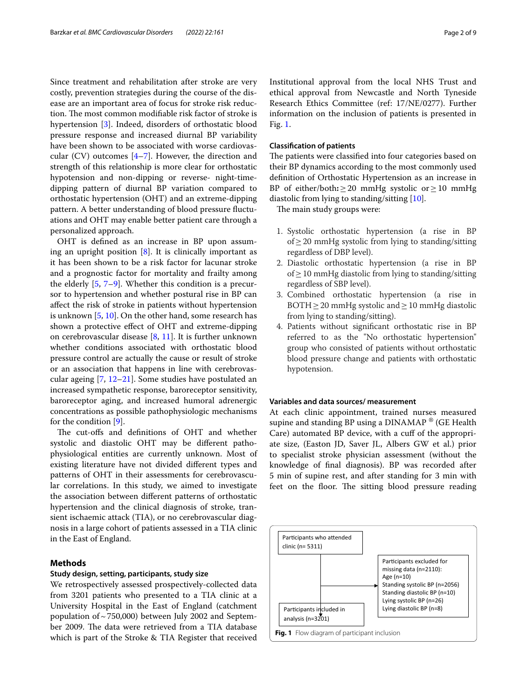Since treatment and rehabilitation after stroke are very costly, prevention strategies during the course of the disease are an important area of focus for stroke risk reduction. The most common modifiable risk factor of stroke is hypertension [\[3](#page-7-2)]. Indeed, disorders of orthostatic blood pressure response and increased diurnal BP variability have been shown to be associated with worse cardiovascular (CV) outcomes [\[4](#page-7-3)[–7](#page-7-4)]. However, the direction and strength of this relationship is more clear for orthostatic hypotension and non-dipping or reverse- night-timedipping pattern of diurnal BP variation compared to orthostatic hypertension (OHT) and an extreme-dipping pattern. A better understanding of blood pressure fuctuations and OHT may enable better patient care through a personalized approach.

OHT is defned as an increase in BP upon assuming an upright position  $[8]$  $[8]$ . It is clinically important as it has been shown to be a risk factor for lacunar stroke and a prognostic factor for mortality and frailty among the elderly [[5,](#page-7-6) [7](#page-7-4)[–9](#page-7-7)]. Whether this condition is a precursor to hypertension and whether postural rise in BP can afect the risk of stroke in patients without hypertension is unknown [[5,](#page-7-6) [10\]](#page-7-8). On the other hand, some research has shown a protective efect of OHT and extreme-dipping on cerebrovascular disease [[8,](#page-7-5) [11\]](#page-7-9). It is further unknown whether conditions associated with orthostatic blood pressure control are actually the cause or result of stroke or an association that happens in line with cerebrovascular ageing [[7](#page-7-4), [12](#page-7-10)[–21](#page-7-11)]. Some studies have postulated an increased sympathetic response, baroreceptor sensitivity, baroreceptor aging, and increased humoral adrenergic concentrations as possible pathophysiologic mechanisms for the condition [[9\]](#page-7-7).

The cut-offs and definitions of OHT and whether systolic and diastolic OHT may be diferent pathophysiological entities are currently unknown. Most of existing literature have not divided diferent types and patterns of OHT in their assessments for cerebrovascular correlations. In this study, we aimed to investigate the association between diferent patterns of orthostatic hypertension and the clinical diagnosis of stroke, transient ischaemic attack (TIA), or no cerebrovascular diagnosis in a large cohort of patients assessed in a TIA clinic in the East of England.

## **Methods**

## **Study design, setting, participants, study size**

We retrospectively assessed prospectively-collected data from 3201 patients who presented to a TIA clinic at a University Hospital in the East of England (catchment population of  $\sim$  750,000) between July 2002 and September 2009. The data were retrieved from a TIA database which is part of the Stroke & TIA Register that received Institutional approval from the local NHS Trust and ethical approval from Newcastle and North Tyneside Research Ethics Committee (ref: 17/NE/0277). Further information on the inclusion of patients is presented in

#### **Classifcation of patients**

Fig. [1.](#page-1-0)

The patients were classified into four categories based on their BP dynamics according to the most commonly used defnition of Orthostatic Hypertension as an increase in BP of either/both**:**≥20 mmHg systolic or≥10 mmHg diastolic from lying to standing/sitting [\[10](#page-7-8)].

The main study groups were:

- 1. Systolic orthostatic hypertension (a rise in BP of≥20 mmHg systolic from lying to standing/sitting regardless of DBP level).
- 2. Diastolic orthostatic hypertension (a rise in BP of≥10 mmHg diastolic from lying to standing/sitting regardless of SBP level).
- 3. Combined orthostatic hypertension (a rise in BOTH  $\geq$  20 mmHg systolic and  $\geq$  10 mmHg diastolic from lying to standing/sitting).
- 4. Patients without signifcant orthostatic rise in BP referred to as the "No orthostatic hypertension" group who consisted of patients without orthostatic blood pressure change and patients with orthostatic hypotension.

## **Variables and data sources/ measurement**

At each clinic appointment, trained nurses measured supine and standing BP using a DINAMAP<sup>®</sup> (GE Health Care) automated BP device, with a cuf of the appropriate size, (Easton JD, Saver JL, Albers GW et al.) prior to specialist stroke physician assessment (without the knowledge of fnal diagnosis). BP was recorded after 5 min of supine rest, and after standing for 3 min with feet on the floor. The sitting blood pressure reading

<span id="page-1-0"></span>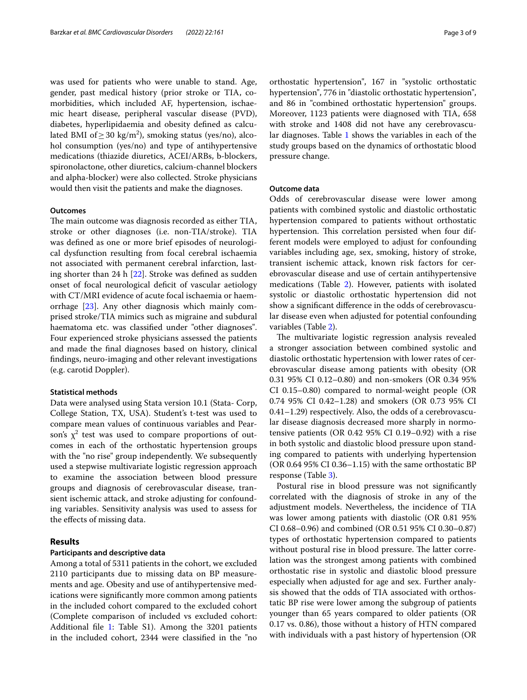was used for patients who were unable to stand. Age, gender, past medical history (prior stroke or TIA, comorbidities, which included AF, hypertension, ischaemic heart disease, peripheral vascular disease (PVD), diabetes, hyperlipidaemia and obesity defned as calculated BMI of $\geq$  30 kg/m<sup>2</sup>), smoking status (yes/no), alcohol consumption (yes/no) and type of antihypertensive medications (thiazide diuretics, ACEI/ARBs, b-blockers, spironolactone, other diuretics, calcium-channel blockers and alpha-blocker) were also collected. Stroke physicians would then visit the patients and make the diagnoses.

## **Outcomes**

The main outcome was diagnosis recorded as either TIA, stroke or other diagnoses (i.e. non-TIA/stroke). TIA was defned as one or more brief episodes of neurological dysfunction resulting from focal cerebral ischaemia not associated with permanent cerebral infarction, lasting shorter than 24 h [[22](#page-7-12)]. Stroke was defned as sudden onset of focal neurological deficit of vascular aetiology with CT/MRI evidence of acute focal ischaemia or haemorrhage [\[23](#page-7-13)]. Any other diagnosis which mainly comprised stroke/TIA mimics such as migraine and subdural haematoma etc. was classifed under "other diagnoses". Four experienced stroke physicians assessed the patients and made the fnal diagnoses based on history, clinical fndings, neuro-imaging and other relevant investigations (e.g. carotid Doppler).

## **Statistical methods**

Data were analysed using Stata version 10.1 (Stata- Corp, College Station, TX, USA). Student's t-test was used to compare mean values of continuous variables and Pearson's  $\chi^2$  test was used to compare proportions of outcomes in each of the orthostatic hypertension groups with the "no rise" group independently. We subsequently used a stepwise multivariate logistic regression approach to examine the association between blood pressure groups and diagnosis of cerebrovascular disease, transient ischemic attack, and stroke adjusting for confounding variables. Sensitivity analysis was used to assess for the efects of missing data.

## **Results**

## **Participants and descriptive data**

Among a total of 5311 patients in the cohort, we excluded 2110 participants due to missing data on BP measurements and age. Obesity and use of antihypertensive medications were signifcantly more common among patients in the included cohort compared to the excluded cohort (Complete comparison of included vs excluded cohort: Additional file [1:](#page-6-0) Table S1). Among the 3201 patients in the included cohort, 2344 were classifed in the "no

orthostatic hypertension", 167 in "systolic orthostatic hypertension", 776 in "diastolic orthostatic hypertension", and 86 in "combined orthostatic hypertension" groups. Moreover, 1123 patients were diagnosed with TIA, 658 with stroke and 1408 did not have any cerebrovascular diagnoses. Table [1](#page-3-0) shows the variables in each of the study groups based on the dynamics of orthostatic blood pressure change.

## **Outcome data**

Odds of cerebrovascular disease were lower among patients with combined systolic and diastolic orthostatic hypertension compared to patients without orthostatic hypertension. This correlation persisted when four different models were employed to adjust for confounding variables including age, sex, smoking, history of stroke, transient ischemic attack, known risk factors for cerebrovascular disease and use of certain antihypertensive medications (Table [2](#page-4-0)). However, patients with isolated systolic or diastolic orthostatic hypertension did not show a signifcant diference in the odds of cerebrovascular disease even when adjusted for potential confounding variables (Table [2\)](#page-4-0).

The multivariate logistic regression analysis revealed a stronger association between combined systolic and diastolic orthostatic hypertension with lower rates of cerebrovascular disease among patients with obesity (OR 0.31 95% CI 0.12–0.80) and non-smokers (OR 0.34 95% CI 0.15–0.80) compared to normal-weight people (OR 0.74 95% CI 0.42–1.28) and smokers (OR 0.73 95% CI 0.41–1.29) respectively. Also, the odds of a cerebrovascular disease diagnosis decreased more sharply in normotensive patients (OR 0.42 95% CI 0.19–0.92) with a rise in both systolic and diastolic blood pressure upon standing compared to patients with underlying hypertension (OR 0.64 95% CI 0.36–1.15) with the same orthostatic BP response (Table [3](#page-5-0)).

Postural rise in blood pressure was not signifcantly correlated with the diagnosis of stroke in any of the adjustment models. Nevertheless, the incidence of TIA was lower among patients with diastolic (OR 0.81 95% CI 0.68–0.96) and combined (OR 0.51 95% CI 0.30–0.87) types of orthostatic hypertension compared to patients without postural rise in blood pressure. The latter correlation was the strongest among patients with combined orthostatic rise in systolic and diastolic blood pressure especially when adjusted for age and sex. Further analysis showed that the odds of TIA associated with orthostatic BP rise were lower among the subgroup of patients younger than 65 years compared to older patients (OR 0.17 vs. 0.86), those without a history of HTN compared with individuals with a past history of hypertension (OR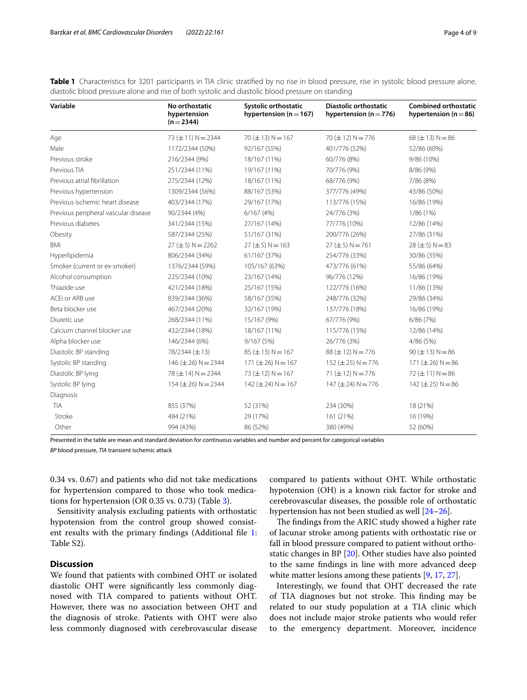<span id="page-3-0"></span>**Table 1** Characteristics for 3201 participants in TIA clinic stratified by no rise in blood pressure, rise in systolic blood pressure alone, diastolic blood pressure alone and rise of both systolic and diastolic blood pressure on standing

| Variable                             | No orthostatic<br>hypertension<br>$(n=2344)$ | Systolic orthostatic<br>hypertension ( $n = 167$ ) | <b>Diastolic orthostatic</b><br>hypertension ( $n = 776$ ) | <b>Combined orthostatic</b><br>hypertension ( $n = 86$ ) |
|--------------------------------------|----------------------------------------------|----------------------------------------------------|------------------------------------------------------------|----------------------------------------------------------|
| Age                                  | 73 ( $\pm$ 11) N = 2344                      | $70 (\pm 13) N = 167$                              | 70 ( $\pm$ 12) N = 776                                     | $68 (\pm 13) N = 86$                                     |
| Male                                 | 1172/2344 (50%)                              | 92/167 (55%)                                       | 401/776 (52%)                                              | 52/86 (60%)                                              |
| Previous stroke                      | 216/2344 (9%)                                | 18/167 (11%)                                       | 60/776 (8%)                                                | 9/86 (10%)                                               |
| Previous TIA                         | 251/2344 (11%)                               | 19/167 (11%)                                       | 70/776 (9%)                                                | 8/86 (9%)                                                |
| Previous atrial fibrillation         | 275/2344 (12%)                               | 18/167 (11%)                                       | 68/776 (9%)                                                | 7/86 (8%)                                                |
| Previous hypertension                | 1309/2344 (56%)                              | 88/167 (53%)                                       | 377/776 (49%)                                              | 43/86 (50%)                                              |
| Previous ischemic heart disease      | 403/2344 (17%)                               | 29/167 (17%)                                       | 113/776 (15%)                                              | 16/86 (19%)                                              |
| Previous peripheral vascular disease | 90/2344 (4%)                                 | 6/167(4%)                                          | 24/776 (3%)                                                | 1/86 (1%)                                                |
| Previous diabetes                    | 341/2344 (15%)                               | 27/167 (14%)                                       | 77/776 (10%)                                               | 12/86 (14%)                                              |
| Obesity                              | 587/2344 (25%)                               | 51/167 (31%)                                       | 200/776 (26%)                                              | 27/86 (31%)                                              |
| <b>BMI</b>                           | $27 (\pm 5) N = 2262$                        | $27 (\pm 5) N = 163$                               | $27 (\pm 5) N = 761$                                       | $28 (\pm 5) N = 83$                                      |
| Hyperlipidemia                       | 806/2344 (34%)                               | 61/167 (37%)                                       | 254/776 (33%)                                              | 30/86 (35%)                                              |
| Smoker (current or ex-smoker)        | 1376/2344 (59%)                              | 105/167 (63%)                                      | 473/776 (61%)                                              | 55/86 (64%)                                              |
| Alcohol consumption                  | 225/2344 (10%)                               | 23/167 (14%)                                       | 96/776 (12%)                                               | 16/86 (19%)                                              |
| Thiazide use                         | 421/2344 (18%)                               | 25/167 (15%)                                       | 122/776 (16%)                                              | 11/86 (13%)                                              |
| ACEi or ARB use                      | 839/2344 (36%)                               | 58/167 (35%)                                       | 248/776 (32%)                                              | 29/86 (34%)                                              |
| Beta blocker use                     | 467/2344 (20%)                               | 32/167 (19%)                                       | 137/776 (18%)                                              | 16/86 (19%)                                              |
| Diuretic use                         | 268/2344 (11%)                               | 15/167 (9%)                                        | 67/776 (9%)                                                | 6/86(7%)                                                 |
| Calcium channel blocker use          | 432/2344 (18%)                               | 18/167 (11%)                                       | 115/776 (15%)                                              | 12/86 (14%)                                              |
| Alpha blocker use                    | 146/2344 (6%)                                | 9/167(5%)                                          | 26/776 (3%)                                                | 4/86 (5%)                                                |
| Diastolic BP standing                | 78/2344 (±13)                                | $85 (\pm 13) N = 167$                              | $88 (\pm 12) N = 776$                                      | $90 (\pm 13) N = 86$                                     |
| Systolic BP standing                 | $146 (\pm 26) N = 2344$                      | $171 (\pm 26) N = 167$                             | $152 (\pm 25) N = 776$                                     | $171 (\pm 26) N = 86$                                    |
| Diastolic BP lying                   | 78 ( $\pm$ 14) N = 2344                      | 73 ( $\pm$ 12) N = 167                             | 71 ( $\pm$ 12) N = 776                                     | $72 (\pm 11) N = 86$                                     |
| Systolic BP lying                    | $154 (\pm 26) N = 2344$                      | $142 (\pm 24) N = 167$                             | $147 (\pm 24) N = 776$                                     | 142 ( $\pm$ 25) N = 86                                   |
| Diagnosis                            |                                              |                                                    |                                                            |                                                          |
| <b>TIA</b>                           | 855 (37%)                                    | 52 (31%)                                           | 234 (30%)                                                  | 18 (21%)                                                 |
| Stroke                               | 484 (21%)                                    | 29 (17%)                                           | 161 (21%)                                                  | 16 (19%)                                                 |
| Other                                | 994 (43%)                                    | 86 (52%)                                           | 380 (49%)                                                  | 52 (60%)                                                 |

Presented in the table are mean and standard deviation for continuous variables and number and percent for categorical variables *BP* blood pressure, *TIA* transient ischemic attack

0.34 vs. 0.67) and patients who did not take medications for hypertension compared to those who took medications for hypertension (OR 0.35 vs. 0.73) (Table [3](#page-5-0)).

Sensitivity analysis excluding patients with orthostatic hypotension from the control group showed consist-ent results with the primary findings (Additional file [1](#page-6-0): Table S2).

## **Discussion**

We found that patients with combined OHT or isolated diastolic OHT were signifcantly less commonly diagnosed with TIA compared to patients without OHT. However, there was no association between OHT and the diagnosis of stroke. Patients with OHT were also less commonly diagnosed with cerebrovascular disease

compared to patients without OHT. While orthostatic hypotension (OH) is a known risk factor for stroke and cerebrovascular diseases, the possible role of orthostatic hypertension has not been studied as well [\[24–](#page-7-14)[26\]](#page-7-15).

The findings from the ARIC study showed a higher rate of lacunar stroke among patients with orthostatic rise or fall in blood pressure compared to patient without orthostatic changes in BP [[20\]](#page-7-16). Other studies have also pointed to the same fndings in line with more advanced deep white matter lesions among these patients [\[9](#page-7-7), [17,](#page-7-17) [27](#page-7-18)].

Interestingly, we found that OHT decreased the rate of TIA diagnoses but not stroke. This finding may be related to our study population at a TIA clinic which does not include major stroke patients who would refer to the emergency department. Moreover, incidence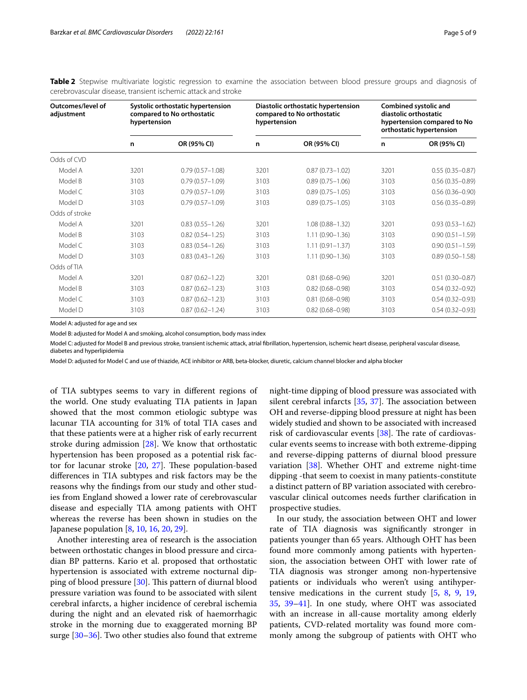| Outcomes/level of<br>adjustment | Systolic orthostatic hypertension<br>compared to No orthostatic<br>hypertension |                     | Diastolic orthostatic hypertension<br>compared to No orthostatic<br>hypertension |                     | Combined systolic and<br>diastolic orthostatic<br>hypertension compared to No<br>orthostatic hypertension |                     |
|---------------------------------|---------------------------------------------------------------------------------|---------------------|----------------------------------------------------------------------------------|---------------------|-----------------------------------------------------------------------------------------------------------|---------------------|
|                                 | n                                                                               | OR (95% CI)         | n                                                                                | OR (95% CI)         | n                                                                                                         | OR (95% CI)         |
| Odds of CVD                     |                                                                                 |                     |                                                                                  |                     |                                                                                                           |                     |
| Model A                         | 3201                                                                            | $0.79(0.57 - 1.08)$ | 3201                                                                             | $0.87(0.73 - 1.02)$ | 3201                                                                                                      | $0.55(0.35 - 0.87)$ |
| Model B                         | 3103                                                                            | $0.79(0.57 - 1.09)$ | 3103                                                                             | $0.89(0.75 - 1.06)$ | 3103                                                                                                      | $0.56(0.35 - 0.89)$ |
| Model C                         | 3103                                                                            | $0.79(0.57 - 1.09)$ | 3103                                                                             | $0.89(0.75 - 1.05)$ | 3103                                                                                                      | $0.56(0.36 - 0.90)$ |
| Model D                         | 3103                                                                            | $0.79(0.57 - 1.09)$ | 3103                                                                             | $0.89(0.75 - 1.05)$ | 3103                                                                                                      | $0.56(0.35 - 0.89)$ |
| Odds of stroke                  |                                                                                 |                     |                                                                                  |                     |                                                                                                           |                     |
| Model A                         | 3201                                                                            | $0.83(0.55 - 1.26)$ | 3201                                                                             | $1.08(0.88 - 1.32)$ | 3201                                                                                                      | $0.93(0.53 - 1.62)$ |
| Model B                         | 3103                                                                            | $0.82(0.54 - 1.25)$ | 3103                                                                             | $1.11(0.90 - 1.36)$ | 3103                                                                                                      | $0.90(0.51 - 1.59)$ |
| Model C                         | 3103                                                                            | $0.83(0.54 - 1.26)$ | 3103                                                                             | $1.11(0.91 - 1.37)$ | 3103                                                                                                      | $0.90(0.51 - 1.59)$ |
| Model D                         | 3103                                                                            | $0.83(0.43 - 1.26)$ | 3103                                                                             | $1.11(0.90 - 1.36)$ | 3103                                                                                                      | $0.89(0.50 - 1.58)$ |
| Odds of TIA                     |                                                                                 |                     |                                                                                  |                     |                                                                                                           |                     |
| Model A                         | 3201                                                                            | $0.87(0.62 - 1.22)$ | 3201                                                                             | $0.81(0.68 - 0.96)$ | 3201                                                                                                      | $0.51(0.30 - 0.87)$ |
| Model B                         | 3103                                                                            | $0.87(0.62 - 1.23)$ | 3103                                                                             | $0.82(0.68 - 0.98)$ | 3103                                                                                                      | $0.54(0.32 - 0.92)$ |
| Model C                         | 3103                                                                            | $0.87(0.62 - 1.23)$ | 3103                                                                             | $0.81(0.68 - 0.98)$ | 3103                                                                                                      | $0.54(0.32 - 0.93)$ |
| Model D                         | 3103                                                                            | $0.87(0.62 - 1.24)$ | 3103                                                                             | $0.82(0.68 - 0.98)$ | 3103                                                                                                      | $0.54(0.32 - 0.93)$ |

<span id="page-4-0"></span>**Table 2** Stepwise multivariate logistic regression to examine the association between blood pressure groups and diagnosis of cerebrovascular disease, transient ischemic attack and stroke

Model A: adjusted for age and sex

Model B: adjusted for Model A and smoking, alcohol consumption, body mass index

Model C: adjusted for Model B and previous stroke, transient ischemic attack, atrial fbrillation, hypertension, ischemic heart disease, peripheral vascular disease, diabetes and hyperlipidemia

Model D: adjusted for Model C and use of thiazide, ACE inhibitor or ARB, beta-blocker, diuretic, calcium channel blocker and alpha blocker

of TIA subtypes seems to vary in diferent regions of the world. One study evaluating TIA patients in Japan showed that the most common etiologic subtype was lacunar TIA accounting for 31% of total TIA cases and that these patients were at a higher risk of early recurrent stroke during admission [\[28](#page-7-19)]. We know that orthostatic hypertension has been proposed as a potential risk factor for lacunar stroke  $[20, 27]$  $[20, 27]$  $[20, 27]$  $[20, 27]$ . These population-based diferences in TIA subtypes and risk factors may be the reasons why the fndings from our study and other studies from England showed a lower rate of cerebrovascular disease and especially TIA among patients with OHT whereas the reverse has been shown in studies on the Japanese population [[8](#page-7-5), [10,](#page-7-8) [16](#page-7-20), [20,](#page-7-16) [29\]](#page-7-21).

Another interesting area of research is the association between orthostatic changes in blood pressure and circadian BP patterns. Kario et al. proposed that orthostatic hypertension is associated with extreme nocturnal dipping of blood pressure  $[30]$  $[30]$ . This pattern of diurnal blood pressure variation was found to be associated with silent cerebral infarcts, a higher incidence of cerebral ischemia during the night and an elevated risk of haemorrhagic stroke in the morning due to exaggerated morning BP surge [\[30](#page-7-22)[–36\]](#page-8-0). Two other studies also found that extreme

night-time dipping of blood pressure was associated with silent cerebral infarcts  $[35, 37]$  $[35, 37]$  $[35, 37]$  $[35, 37]$ . The association between OH and reverse-dipping blood pressure at night has been widely studied and shown to be associated with increased risk of cardiovascular events  $[38]$  $[38]$ . The rate of cardiovascular events seems to increase with both extreme-dipping and reverse-dipping patterns of diurnal blood pressure variation [\[38](#page-8-3)]. Whether OHT and extreme night-time dipping -that seem to coexist in many patients-constitute a distinct pattern of BP variation associated with cerebrovascular clinical outcomes needs further clarifcation in prospective studies.

In our study, the association between OHT and lower rate of TIA diagnosis was signifcantly stronger in patients younger than 65 years. Although OHT has been found more commonly among patients with hypertension, the association between OHT with lower rate of TIA diagnosis was stronger among non-hypertensive patients or individuals who weren't using antihypertensive medications in the current study [\[5,](#page-7-6) [8](#page-7-5), [9](#page-7-7), [19](#page-7-23), [35,](#page-8-1) [39](#page-8-4)[–41](#page-8-5)]. In one study, where OHT was associated with an increase in all-cause mortality among elderly patients, CVD-related mortality was found more commonly among the subgroup of patients with OHT who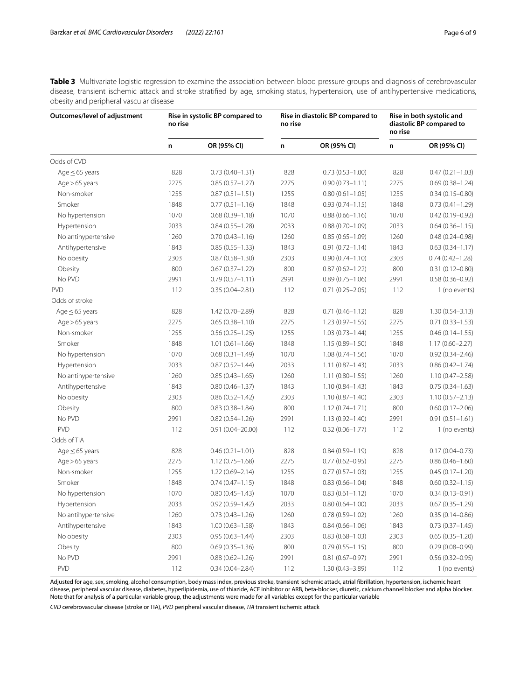<span id="page-5-0"></span>**Table 3** Multivariate logistic regression to examine the association between blood pressure groups and diagnosis of cerebrovascular disease, transient ischemic attack and stroke stratifed by age, smoking status, hypertension, use of antihypertensive medications, obesity and peripheral vascular disease

| Outcomes/level of adjustment | Rise in systolic BP compared to<br>no rise |                      | Rise in diastolic BP compared to<br>no rise |                     | Rise in both systolic and<br>diastolic BP compared to<br>no rise |                     |
|------------------------------|--------------------------------------------|----------------------|---------------------------------------------|---------------------|------------------------------------------------------------------|---------------------|
|                              | n                                          | OR (95% CI)          | n                                           | OR (95% CI)         | n                                                                | OR (95% CI)         |
| Odds of CVD                  |                                            |                      |                                             |                     |                                                                  |                     |
| Age $\leq$ 65 years          | 828                                        | $0.73(0.40 - 1.31)$  | 828                                         | $0.73(0.53 - 1.00)$ | 828                                                              | $0.47(0.21 - 1.03)$ |
| $Age > 65$ years             | 2275                                       | $0.85(0.57 - 1.27)$  | 2275                                        | $0.90(0.73 - 1.11)$ | 2275                                                             | $0.69(0.38 - 1.24)$ |
| Non-smoker                   | 1255                                       | $0.87(0.51 - 1.51)$  | 1255                                        | $0.80(0.61 - 1.05)$ | 1255                                                             | $0.34(0.15 - 0.80)$ |
| Smoker                       | 1848                                       | $0.77(0.51 - 1.16)$  | 1848                                        | $0.93(0.74 - 1.15)$ | 1848                                                             | $0.73(0.41 - 1.29)$ |
| No hypertension              | 1070                                       | $0.68(0.39 - 1.18)$  | 1070                                        | $0.88(0.66 - 1.16)$ | 1070                                                             | $0.42(0.19 - 0.92)$ |
| Hypertension                 | 2033                                       | $0.84(0.55 - 1.28)$  | 2033                                        | $0.88(0.70 - 1.09)$ | 2033                                                             | $0.64(0.36 - 1.15)$ |
| No antihypertensive          | 1260                                       | $0.70(0.43 - 1.16)$  | 1260                                        | $0.85(0.65 - 1.09)$ | 1260                                                             | $0.48(0.24 - 0.98)$ |
| Antihypertensive             | 1843                                       | $0.85(0.55 - 1.33)$  | 1843                                        | $0.91(0.72 - 1.14)$ | 1843                                                             | $0.63(0.34 - 1.17)$ |
| No obesity                   | 2303                                       | $0.87(0.58 - 1.30)$  | 2303                                        | $0.90(0.74 - 1.10)$ | 2303                                                             | $0.74(0.42 - 1.28)$ |
| Obesity                      | 800                                        | $0.67(0.37 - 1.22)$  | 800                                         | $0.87(0.62 - 1.22)$ | 800                                                              | $0.31(0.12 - 0.80)$ |
| No PVD                       | 2991                                       | $0.79(0.57 - 1.11)$  | 2991                                        | $0.89(0.75 - 1.06)$ | 2991                                                             | $0.58(0.36 - 0.92)$ |
| <b>PVD</b>                   | 112                                        | $0.35(0.04 - 2.81)$  | 112                                         | $0.71(0.25 - 2.05)$ | 112                                                              | 1 (no events)       |
| Odds of stroke               |                                            |                      |                                             |                     |                                                                  |                     |
| Age $\leq$ 65 years          | 828                                        | 1.42 (0.70-2.89)     | 828                                         | $0.71(0.46 - 1.12)$ | 828                                                              | $1.30(0.54 - 3.13)$ |
| $Age > 65$ years             | 2275                                       | $0.65(0.38 - 1.10)$  | 2275                                        | $1.23(0.97 - 1.55)$ | 2275                                                             | $0.71(0.33 - 1.53)$ |
| Non-smoker                   | 1255                                       | $0.56(0.25 - 1.25)$  | 1255                                        | $1.03(0.73 - 1.44)$ | 1255                                                             | $0.46(0.14 - 1.55)$ |
| Smoker                       | 1848                                       | $1.01(0.61 - 1.66)$  | 1848                                        | $1.15(0.89 - 1.50)$ | 1848                                                             | $1.17(0.60 - 2.27)$ |
| No hypertension              | 1070                                       | $0.68(0.31 - 1.49)$  | 1070                                        | $1.08(0.74 - 1.56)$ | 1070                                                             | $0.92(0.34 - 2.46)$ |
| Hypertension                 | 2033                                       | $0.87(0.52 - 1.44)$  | 2033                                        | $1.11(0.87 - 1.43)$ | 2033                                                             | $0.86(0.42 - 1.74)$ |
| No antihypertensive          | 1260                                       | $0.85(0.43 - 1.65)$  | 1260                                        | $1.11(0.80 - 1.55)$ | 1260                                                             | $1.10(0.47 - 2.58)$ |
| Antihypertensive             | 1843                                       | $0.80(0.46 - 1.37)$  | 1843                                        | $1.10(0.84 - 1.43)$ | 1843                                                             | $0.75(0.34 - 1.63)$ |
| No obesity                   | 2303                                       | $0.86(0.52 - 1.42)$  | 2303                                        | $1.10(0.87 - 1.40)$ | 2303                                                             | $1.10(0.57 - 2.13)$ |
| Obesity                      | 800                                        | $0.83(0.38 - 1.84)$  | 800                                         | $1.12(0.74 - 1.71)$ | 800                                                              | $0.60(0.17 - 2.06)$ |
| No PVD                       | 2991                                       | $0.82(0.54 - 1.26)$  | 2991                                        | $1.13(0.92 - 1.40)$ | 2991                                                             | $0.91(0.51 - 1.61)$ |
| PVD                          | 112                                        | $0.91(0.04 - 20.00)$ | 112                                         | $0.32(0.06 - 1.77)$ | 112                                                              | 1 (no events)       |
| Odds of TIA                  |                                            |                      |                                             |                     |                                                                  |                     |
| Age $\leq$ 65 years          | 828                                        | $0.46(0.21 - 1.01)$  | 828                                         | $0.84(0.59 - 1.19)$ | 828                                                              | $0.17(0.04 - 0.73)$ |
| $Age > 65$ years             | 2275                                       | $1.12(0.75 - 1.68)$  | 2275                                        | $0.77(0.62 - 0.95)$ | 2275                                                             | $0.86(0.46 - 1.60)$ |
| Non-smoker                   | 1255                                       | $1.22(0.69 - 2.14)$  | 1255                                        | $0.77(0.57 - 1.03)$ | 1255                                                             | $0.45(0.17 - 1.20)$ |
| Smoker                       | 1848                                       | $0.74(0.47 - 1.15)$  | 1848                                        | $0.83(0.66 - 1.04)$ | 1848                                                             | $0.60(0.32 - 1.15)$ |
| No hypertension              | 1070                                       | $0.80(0.45 - 1.43)$  | 1070                                        | $0.83(0.61 - 1.12)$ | 1070                                                             | $0.34(0.13 - 0.91)$ |
| Hypertension                 | 2033                                       | $0.92(0.59 - 1.42)$  | 2033                                        | $0.80(0.64 - 1.00)$ | 2033                                                             | $0.67(0.35 - 1.29)$ |
| No antihypertensive          | 1260                                       | $0.73(0.43 - 1.26)$  | 1260                                        | $0.78(0.59 - 1.02)$ | 1260                                                             | $0.35(0.14 - 0.86)$ |
| Antihypertensive             | 1843                                       | $1.00(0.63 - 1.58)$  | 1843                                        | $0.84(0.66 - 1.06)$ | 1843                                                             | $0.73(0.37 - 1.45)$ |
| No obesity                   | 2303                                       | $0.95(0.63 - 1.44)$  | 2303                                        | $0.83(0.68 - 1.03)$ | 2303                                                             | $0.65(0.35 - 1.20)$ |
| Obesity                      | 800                                        | $0.69(0.35 - 1.36)$  | 800                                         | $0.79(0.55 - 1.15)$ | 800                                                              | $0.29(0.08 - 0.99)$ |
| No PVD                       | 2991                                       | $0.88(0.62 - 1.26)$  | 2991                                        | $0.81(0.67 - 0.97)$ | 2991                                                             | $0.56(0.32 - 0.95)$ |
| PVD                          | 112                                        | $0.34(0.04 - 2.84)$  | 112                                         | $1.30(0.43 - 3.89)$ | 112                                                              | 1 (no events)       |

Adjusted for age, sex, smoking, alcohol consumption, body mass index, previous stroke, transient ischemic attack, atrial fbrillation, hypertension, ischemic heart disease, peripheral vascular disease, diabetes, hyperlipidemia, use of thiazide, ACE inhibitor or ARB, beta-blocker, diuretic, calcium channel blocker and alpha blocker. Note that for analysis of a particular variable group, the adjustments were made for all variables except for the particular variable

*CVD* cerebrovascular disease (stroke or TIA), *PVD* peripheral vascular disease, *TIA* transient ischemic attack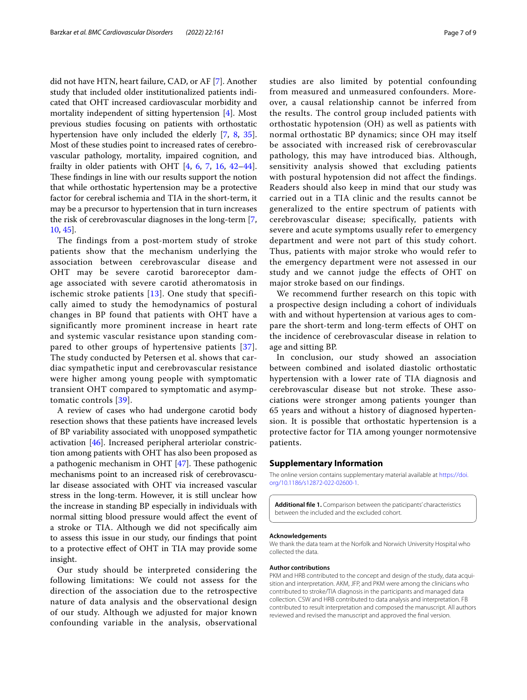did not have HTN, heart failure, CAD, or AF [[7\]](#page-7-4). Another study that included older institutionalized patients indicated that OHT increased cardiovascular morbidity and mortality independent of sitting hypertension [\[4](#page-7-3)]. Most previous studies focusing on patients with orthostatic hypertension have only included the elderly [\[7](#page-7-4), [8,](#page-7-5) [35](#page-8-1)]. Most of these studies point to increased rates of cerebrovascular pathology, mortality, impaired cognition, and frailty in older patients with OHT [[4,](#page-7-3) [6](#page-7-24), [7](#page-7-4), [16](#page-7-20), [42](#page-8-6)[–44](#page-8-7)]. These findings in line with our results support the notion that while orthostatic hypertension may be a protective factor for cerebral ischemia and TIA in the short-term, it may be a precursor to hypertension that in turn increases the risk of cerebrovascular diagnoses in the long-term [\[7](#page-7-4), [10,](#page-7-8) [45\]](#page-8-8).

The findings from a post-mortem study of stroke patients show that the mechanism underlying the association between cerebrovascular disease and OHT may be severe carotid baroreceptor damage associated with severe carotid atheromatosis in ischemic stroke patients [[13](#page-7-25)]. One study that specifically aimed to study the hemodynamics of postural changes in BP found that patients with OHT have a significantly more prominent increase in heart rate and systemic vascular resistance upon standing compared to other groups of hypertensive patients [[37\]](#page-8-2). The study conducted by Petersen et al. shows that cardiac sympathetic input and cerebrovascular resistance were higher among young people with symptomatic transient OHT compared to symptomatic and asymptomatic controls [[39\]](#page-8-4).

A review of cases who had undergone carotid body resection shows that these patients have increased levels of BP variability associated with unopposed sympathetic activation [[46\]](#page-8-9). Increased peripheral arteriolar constriction among patients with OHT has also been proposed as a pathogenic mechanism in OHT  $[47]$  $[47]$ . These pathogenic mechanisms point to an increased risk of cerebrovascular disease associated with OHT via increased vascular stress in the long-term. However, it is still unclear how the increase in standing BP especially in individuals with normal sitting blood pressure would afect the event of a stroke or TIA. Although we did not specifcally aim to assess this issue in our study, our fndings that point to a protective efect of OHT in TIA may provide some insight.

Our study should be interpreted considering the following limitations: We could not assess for the direction of the association due to the retrospective nature of data analysis and the observational design of our study. Although we adjusted for major known confounding variable in the analysis, observational studies are also limited by potential confounding from measured and unmeasured confounders. Moreover, a causal relationship cannot be inferred from the results. The control group included patients with orthostatic hypotension (OH) as well as patients with normal orthostatic BP dynamics; since OH may itself be associated with increased risk of cerebrovascular pathology, this may have introduced bias. Although, sensitivity analysis showed that excluding patients with postural hypotension did not affect the findings. Readers should also keep in mind that our study was carried out in a TIA clinic and the results cannot be generalized to the entire spectrum of patients with cerebrovascular disease; specifically, patients with severe and acute symptoms usually refer to emergency department and were not part of this study cohort. Thus, patients with major stroke who would refer to the emergency department were not assessed in our study and we cannot judge the effects of OHT on major stroke based on our findings.

We recommend further research on this topic with a prospective design including a cohort of individuals with and without hypertension at various ages to compare the short-term and long-term efects of OHT on the incidence of cerebrovascular disease in relation to age and sitting BP.

In conclusion, our study showed an association between combined and isolated diastolic orthostatic hypertension with a lower rate of TIA diagnosis and cerebrovascular disease but not stroke. These associations were stronger among patients younger than 65 years and without a history of diagnosed hypertension. It is possible that orthostatic hypertension is a protective factor for TIA among younger normotensive patients.

#### **Supplementary Information**

The online version contains supplementary material available at [https://doi.](https://doi.org/10.1186/s12872-022-02600-1) [org/10.1186/s12872-022-02600-1](https://doi.org/10.1186/s12872-022-02600-1).

<span id="page-6-0"></span>**Additional fle 1.** Comparison between the paticipants' characteristics between the included and the excluded cohort.

#### **Acknowledgements**

We thank the data team at the Norfolk and Norwich University Hospital who collected the data.

#### **Author contributions**

PKM and HRB contributed to the concept and design of the study, data acquisition and interpretation. AKM, JFP, and PKM were among the clinicians who contributed to stroke/TIA diagnosis in the participants and managed data collection. CSW and HRB contributed to data analysis and interpretation. FB contributed to result interpretation and composed the manuscript. All authors reviewed and revised the manuscript and approved the fnal version.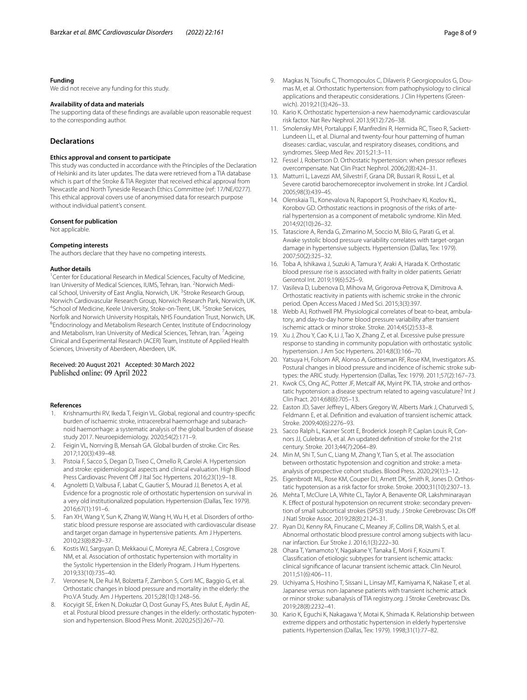#### **Funding**

We did not receive any funding for this study.

## **Availability of data and materials**

The supporting data of these fndings are available upon reasonable request to the corresponding author.

## **Declarations**

#### **Ethics approval and consent to participate**

This study was conducted in accordance with the Principles of the Declaration of Helsinki and its later updates. The data were retrieved from a TIA database which is part of the Stroke & TIA Register that received ethical approval from Newcastle and North Tyneside Research Ethics Committee (ref: 17/NE/0277). This ethical approval covers use of anonymised data for research purpose without individual patient's consent.

#### **Consent for publication**

Not applicable.

## **Competing interests**

The authors declare that they have no competing interests.

#### **Author details**

<sup>1</sup> Center for Educational Research in Medical Sciences, Faculty of Medicine, Iran University of Medical Sciences, IUMS, Tehran, Iran. <sup>2</sup>Norwich Medical School, University of East Anglia, Norwich, UK.<sup>3</sup> Stroke Research Group, Norwich Cardiovascular Research Group, Norwich Research Park, Norwich, UK. <sup>4</sup>School of Medicine, Keele University, Stoke-on-Trent, UK. <sup>5</sup>Stroke Services, Norfolk and Norwich University Hospitals, NHS Foundation Trust, Norwich, UK. 6 Endocrinology and Metabolism Research Center, Institute of Endocrinology and Metabolism, Iran University of Medical Sciences, Tehran, Iran. <sup>7</sup> Ageing Clinical and Experimental Research (ACER) Team, Institute of Applied Health Sciences, University of Aberdeen, Aberdeen, UK.

## Received: 20 August 2021 Accepted: 30 March 2022 Published online: 09 April 2022

#### **References**

- <span id="page-7-0"></span>1. Krishnamurthi RV, Ikeda T, Feigin VL. Global, regional and country-specifc burden of ischaemic stroke, intracerebral haemorrhage and subarachnoid haemorrhage: a systematic analysis of the global burden of disease study 2017. Neuroepidemiology. 2020;54(2):171–9.
- <span id="page-7-1"></span>2. Feigin VL, Norrving B, Mensah GA. Global burden of stroke. Circ Res. 2017;120(3):439–48.
- <span id="page-7-2"></span>3. Pistoia F, Sacco S, Degan D, Tiseo C, Ornello R, Carolei A. Hypertension and stroke: epidemiological aspects and clinical evaluation. High Blood Press Cardiovasc Prevent Off J Ital Soc Hypertens. 2016;23(1):9-18.
- <span id="page-7-3"></span>4. Agnoletti D, Valbusa F, Labat C, Gautier S, Mourad JJ, Benetos A, et al. Evidence for a prognostic role of orthostatic hypertension on survival in a very old institutionalized population. Hypertension (Dallas, Tex: 1979). 2016;67(1):191–6.
- <span id="page-7-6"></span>5. Fan XH, Wang Y, Sun K, Zhang W, Wang H, Wu H, et al. Disorders of orthostatic blood pressure response are associated with cardiovascular disease and target organ damage in hypertensive patients. Am J Hypertens. 2010;23(8):829–37.
- <span id="page-7-24"></span>6. Kostis WJ, Sargsyan D, Mekkaoui C, Moreyra AE, Cabrera J, Cosgrove NM, et al. Association of orthostatic hypertension with mortality in the Systolic Hypertension in the Elderly Program. J Hum Hypertens. 2019;33(10):735–40.
- <span id="page-7-4"></span>7. Veronese N, De Rui M, Bolzetta F, Zambon S, Corti MC, Baggio G, et al. Orthostatic changes in blood pressure and mortality in the elderly: the Pro.V.A Study. Am J Hypertens. 2015;28(10):1248–56.
- <span id="page-7-5"></span>8. Kocyigit SE, Erken N, Dokuzlar O, Dost Gunay FS, Ates Bulut E, Aydin AE, et al. Postural blood pressure changes in the elderly: orthostatic hypotension and hypertension. Blood Press Monit. 2020;25(5):267–70.
- <span id="page-7-7"></span>9. Magkas N, Tsioufs C, Thomopoulos C, Dilaveris P, Georgiopoulos G, Doumas M, et al. Orthostatic hypertension: from pathophysiology to clinical applications and therapeutic considerations. J Clin Hypertens (Greenwich). 2019;21(3):426–33.
- <span id="page-7-8"></span>10. Kario K. Orthostatic hypertension-a new haemodynamic cardiovascular risk factor. Nat Rev Nephrol. 2013;9(12):726–38.
- <span id="page-7-9"></span>11. Smolensky MH, Portaluppi F, Manfredini R, Hermida RC, Tiseo R, Sackett-Lundeen LL, et al. Diurnal and twenty-four hour patterning of human diseases: cardiac, vascular, and respiratory diseases, conditions, and syndromes. Sleep Med Rev. 2015;21:3–11.
- <span id="page-7-10"></span>12. Fessel J, Robertson D. Orthostatic hypertension: when pressor refexes overcompensate. Nat Clin Pract Nephrol. 2006;2(8):424–31.
- <span id="page-7-25"></span>13. Matturri L, Lavezzi AM, Silvestri F, Grana DR, Bussari R, Rossi L, et al. Severe carotid barochemoreceptor involvement in stroke. Int J Cardiol. 2005;98(3):439–45.
- 14. Olenskaia TL, Konevalova N, Rapoport SI, Proshchaev KI, Kozlov KL, Korobov GD. Orthostatic reactions in prognosis of the risks of arterial hypertension as a component of metabolic syndrome. Klin Med. 2014;92(10):26–32.
- 15. Tatasciore A, Renda G, Zimarino M, Soccio M, Bilo G, Parati G, et al. Awake systolic blood pressure variability correlates with target-organ damage in hypertensive subjects. Hypertension (Dallas, Tex: 1979). 2007;50(2):325–32.
- <span id="page-7-20"></span>16. Toba A, Ishikawa J, Suzuki A, Tamura Y, Araki A, Harada K. Orthostatic blood pressure rise is associated with frailty in older patients. Geriatr Gerontol Int. 2019;19(6):525–9.
- <span id="page-7-17"></span>17. Vasileva D, Lubenova D, Mihova M, Grigorova-Petrova K, Dimitrova A. Orthostatic reactivity in patients with ischemic stroke in the chronic period. Open Access Maced J Med Sci. 2015;3(3):397.
- 18. Webb AJ, Rothwell PM. Physiological correlates of beat-to-beat, ambulatory, and day-to-day home blood pressure variability after transient ischemic attack or minor stroke. Stroke. 2014;45(2):533–8.
- <span id="page-7-23"></span>19. Xu J, Zhou Y, Cao K, Li J, Tao X, Zhang Z, et al. Excessive pulse pressure response to standing in community population with orthostatic systolic hypertension. J Am Soc Hypertens. 2014;8(3):166–70.
- <span id="page-7-16"></span>20. Yatsuya H, Folsom AR, Alonso A, Gottesman RF, Rose KM, Investigators AS. Postural changes in blood pressure and incidence of ischemic stroke subtypes: the ARIC study. Hypertension (Dallas, Tex: 1979). 2011;57(2):167–73.
- <span id="page-7-11"></span>21. Kwok CS, Ong AC, Potter JF, Metcalf AK, Myint PK. TIA, stroke and orthostatic hypotension: a disease spectrum related to ageing vasculature? Int J Clin Pract. 2014;68(6):705–13.
- <span id="page-7-12"></span>22. Easton JD, Saver Jefrey L, Albers Gregory W, Alberts Mark J, Chaturvedi S, Feldmann E, et al. Definition and evaluation of transient ischemic attack. Stroke. 2009;40(6):2276-93.
- <span id="page-7-13"></span>23. Sacco Ralph L, Kasner Scott E, Broderick Joseph P, Caplan Louis R, Connors JJ, Culebras A, et al. An updated defnition of stroke for the 21st century. Stroke. 2013;44(7):2064–89.
- <span id="page-7-14"></span>24. Min M, Shi T, Sun C, Liang M, Zhang Y, Tian S, et al. The association between orthostatic hypotension and cognition and stroke: a metaanalysis of prospective cohort studies. Blood Press. 2020;29(1):3–12.
- 25. Eigenbrodt ML, Rose KM, Couper DJ, Arnett DK, Smith R, Jones D. Orthostatic hypotension as a risk factor for stroke. Stroke. 2000;31(10):2307–13.
- <span id="page-7-15"></span>26. Mehta T, McClure LA, White CL, Taylor A, Benavente OR, Lakshminarayan K. Efect of postural hypotension on recurrent stroke: secondary prevention of small subcortical strokes (SPS3) study. J Stroke Cerebrovasc Dis Of J Natl Stroke Assoc. 2019;28(8):2124–31.
- <span id="page-7-18"></span>27. Ryan DJ, Kenny RA, Finucane C, Meaney JF, Collins DR, Walsh S, et al. Abnormal orthostatic blood pressure control among subjects with lacunar infarction. Eur Stroke J. 2016;1(3):222–30.
- <span id="page-7-19"></span>28. Ohara T, Yamamoto Y, Nagakane Y, Tanaka E, Morii F, Koizumi T. Classifcation of etiologic subtypes for transient ischemic attacks: clinical signifcance of lacunar transient ischemic attack. Clin Neurol. 2011;51(6):406–11.
- <span id="page-7-21"></span>29. Uchiyama S, Hoshino T, Sissani L, Linsay MT, Kamiyama K, Nakase T, et al. Japanese versus non-Japanese patients with transient ischemic attack or minor stroke: subanalysis of TIA registry.org. J Stroke Cerebrovasc Dis. 2019;28(8):2232–41.
- <span id="page-7-22"></span>30. Kario K, Eguchi K, Nakagawa Y, Motai K, Shimada K. Relationship between extreme dippers and orthostatic hypertension in elderly hypertensive patients. Hypertension (Dallas, Tex: 1979). 1998;31(1):77–82.